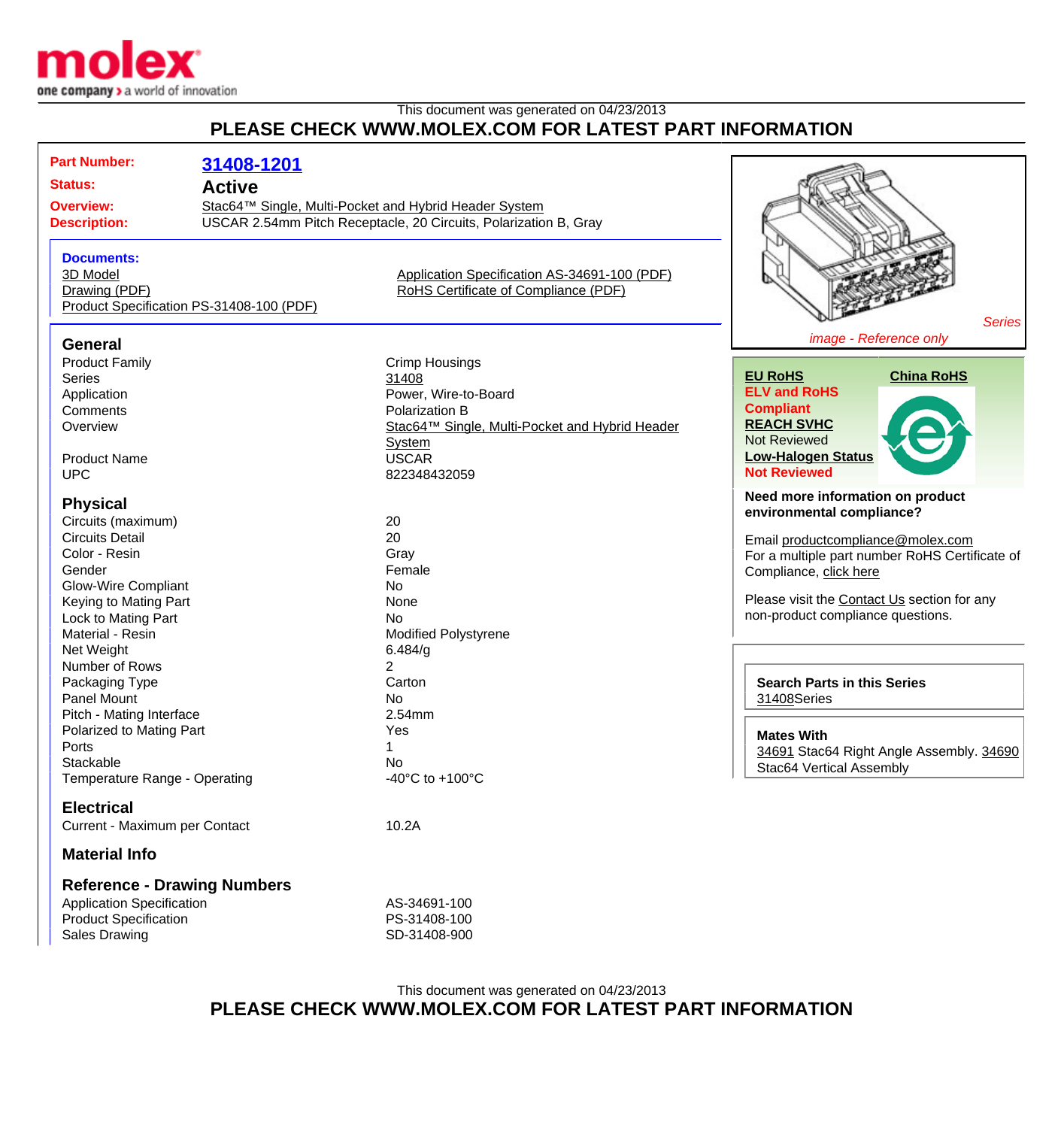

## This document was generated on 04/23/2013 **PLEASE CHECK WWW.MOLEX.COM FOR LATEST PART INFORMATION**

| <b>Part Number:</b><br><b>Status:</b><br><b>Overview:</b><br><b>Description:</b>                                                                                                                           | 31408-1201<br><b>Active</b><br>Stac64™ Single, Multi-Pocket and Hybrid Header System | USCAR 2.54mm Pitch Receptacle, 20 Circuits, Polarization B, Gray                                                                                            |                                                                                                                                                                                                                                                                                           |
|------------------------------------------------------------------------------------------------------------------------------------------------------------------------------------------------------------|--------------------------------------------------------------------------------------|-------------------------------------------------------------------------------------------------------------------------------------------------------------|-------------------------------------------------------------------------------------------------------------------------------------------------------------------------------------------------------------------------------------------------------------------------------------------|
| <b>Documents:</b><br>3D Model<br>Drawing (PDF)<br>Product Specification PS-31408-100 (PDF)                                                                                                                 |                                                                                      | Application Specification AS-34691-100 (PDF)<br>RoHS Certificate of Compliance (PDF)                                                                        | <b>Series</b>                                                                                                                                                                                                                                                                             |
| <b>General</b><br><b>Product Family</b><br><b>Series</b><br>Application<br>Comments<br>Overview<br><b>Product Name</b>                                                                                     |                                                                                      | <b>Crimp Housings</b><br>31408<br>Power, Wire-to-Board<br>Polarization B<br>Stac64™ Single, Multi-Pocket and Hybrid Header<br><b>System</b><br><b>USCAR</b> | image - Reference only<br><b>EU RoHS</b><br><b>China RoHS</b><br><b>ELV and RoHS</b><br><b>Compliant</b><br><b>REACH SVHC</b><br>Not Reviewed<br><b>Low-Halogen Status</b>                                                                                                                |
| <b>UPC</b><br><b>Physical</b><br>Circuits (maximum)<br><b>Circuits Detail</b><br>Color - Resin<br>Gender<br><b>Glow-Wire Compliant</b><br>Keying to Mating Part<br>Lock to Mating Part<br>Material - Resin |                                                                                      | 822348432059<br>20<br>20<br>Gray<br>Female<br><b>No</b><br>None<br><b>No</b><br><b>Modified Polystyrene</b>                                                 | <b>Not Reviewed</b><br>Need more information on product<br>environmental compliance?<br>Email productcompliance@molex.com<br>For a multiple part number RoHS Certificate of<br>Compliance, click here<br>Please visit the Contact Us section for any<br>non-product compliance questions. |
| Net Weight<br>Number of Rows<br>Packaging Type<br>Panel Mount<br>Pitch - Mating Interface<br>Polarized to Mating Part<br>Ports<br>Stackable<br>Temperature Range - Operating                               |                                                                                      | 6.484/g<br>$\overline{2}$<br>Carton<br><b>No</b><br>2.54mm<br>Yes<br>No<br>-40 $^{\circ}$ C to +100 $^{\circ}$ C                                            | <b>Search Parts in this Series</b><br>31408Series<br><b>Mates With</b><br>34691 Stac64 Right Angle Assembly. 34690<br>Stac64 Vertical Assembly                                                                                                                                            |
| <b>Electrical</b><br>Current - Maximum per Contact<br><b>Material Info</b><br><b>Reference - Drawing Numbers</b><br><b>Application Specification</b><br><b>Product Specification</b>                       |                                                                                      | 10.2A<br>AS-34691-100<br>PS-31408-100                                                                                                                       |                                                                                                                                                                                                                                                                                           |

Sales Drawing SD-31408-900